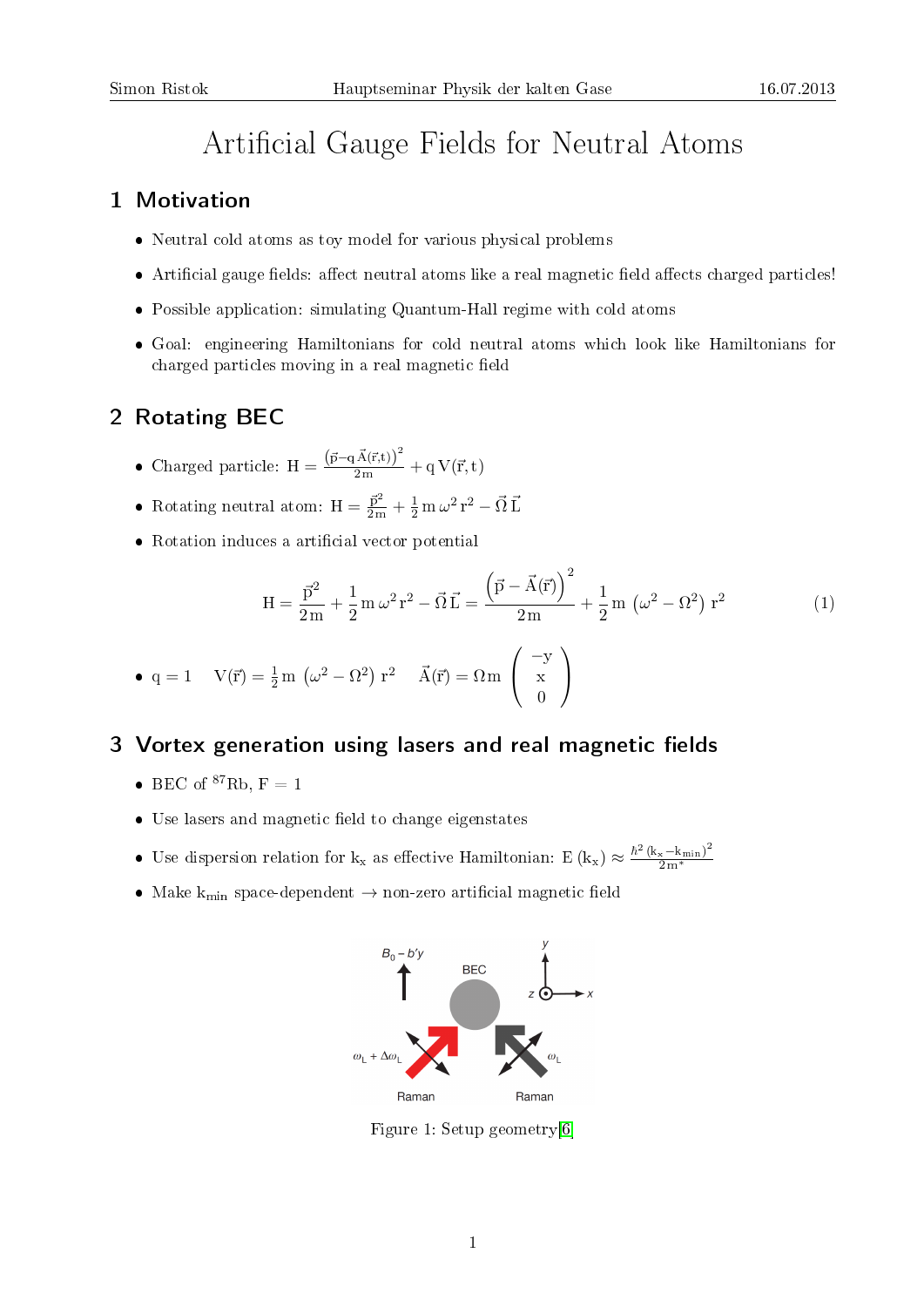# Artificial Gauge Fields for Neutral Atoms

## 1 Motivation

- Neutral cold atoms as toy model for various physical problems
- Artificial gauge fields: affect neutral atoms like a real magnetic field affects charged particles!
- Possible application: simulating Quantum-Hall regime with cold atoms
- Goal: engineering Hamiltonians for cold neutral atoms which look like Hamiltonians for charged particles moving in a real magnetic field

## 2 Rotating BEC

- Charged particle:  $H = \frac{(\vec{p} q \vec{A}(\vec{r},t))^2}{2m}$  $\frac{1}{2m} + q V(\vec{r},t)$
- Rotating neutral atom:  $H = \frac{\vec{p}^2}{2m} + \frac{1}{2} m \omega^2 r^2 \vec{\Omega} \vec{L}$
- Rotation induces a artificial vector potential

$$
H = \frac{\vec{p}^2}{2m} + \frac{1}{2} m \omega^2 r^2 - \vec{\Omega} \vec{L} = \frac{(\vec{p} - \vec{A}(\vec{r}))^2}{2m} + \frac{1}{2} m (\omega^2 - \Omega^2) r^2
$$
 (1)

• 
$$
q = 1
$$
  $V(\vec{r}) = \frac{1}{2} m (\omega^2 - \Omega^2) r^2$   $\vec{A}(\vec{r}) = \Omega m \begin{pmatrix} -y \\ x \\ 0 \end{pmatrix}$ 

# 3 Vortex generation using lasers and real magnetic fields

- BEC of  ${}^{87}\text{Rb}$ , F = 1
- Use lasers and magnetic field to change eigenstates
- Use dispersion relation for  $k_x$  as effective Hamiltonian:  $E(k_x) \approx \frac{\hbar^2 (k_x k_{min})^2}{2m^*}$ 2 m<sup>∗</sup>
- Make  $k_{\text{min}}$  space-dependent  $\rightarrow$  non-zero artificial magnetic field



Figure 1: Setup geometry[\[6\]](#page-1-0)

1